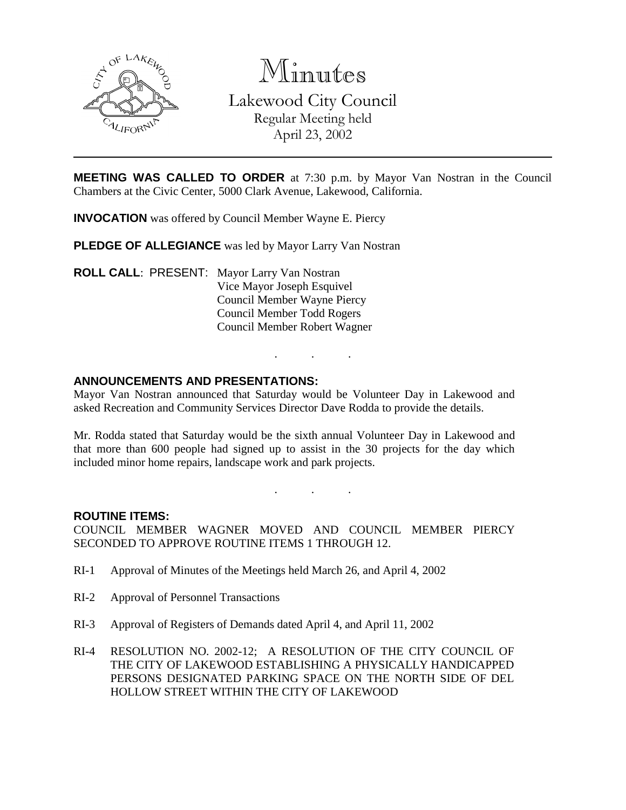

Minutes Lakewood City Council Regular Meeting held April 23, 2002

**MEETING WAS CALLED TO ORDER** at 7:30 p.m. by Mayor Van Nostran in the Council Chambers at the Civic Center, 5000 Clark Avenue, Lakewood, California.

**INVOCATION** was offered by Council Member Wayne E. Piercy

**PLEDGE OF ALLEGIANCE** was led by Mayor Larry Van Nostran

**ROLL CALL**: PRESENT: Mayor Larry Van Nostran Vice Mayor Joseph Esquivel Council Member Wayne Piercy Council Member Todd Rogers Council Member Robert Wagner

### **ANNOUNCEMENTS AND PRESENTATIONS:**

Mayor Van Nostran announced that Saturday would be Volunteer Day in Lakewood and asked Recreation and Community Services Director Dave Rodda to provide the details.

. . .

Mr. Rodda stated that Saturday would be the sixth annual Volunteer Day in Lakewood and that more than 600 people had signed up to assist in the 30 projects for the day which included minor home repairs, landscape work and park projects.

. . .

#### **ROUTINE ITEMS:**

COUNCIL MEMBER WAGNER MOVED AND COUNCIL MEMBER PIERCY SECONDED TO APPROVE ROUTINE ITEMS 1 THROUGH 12.

- RI-1 Approval of Minutes of the Meetings held March 26, and April 4, 2002
- RI-2 Approval of Personnel Transactions
- RI-3 Approval of Registers of Demands dated April 4, and April 11, 2002
- RI-4 RESOLUTION NO. 2002-12; A RESOLUTION OF THE CITY COUNCIL OF THE CITY OF LAKEWOOD ESTABLISHING A PHYSICALLY HANDICAPPED PERSONS DESIGNATED PARKING SPACE ON THE NORTH SIDE OF DEL HOLLOW STREET WITHIN THE CITY OF LAKEWOOD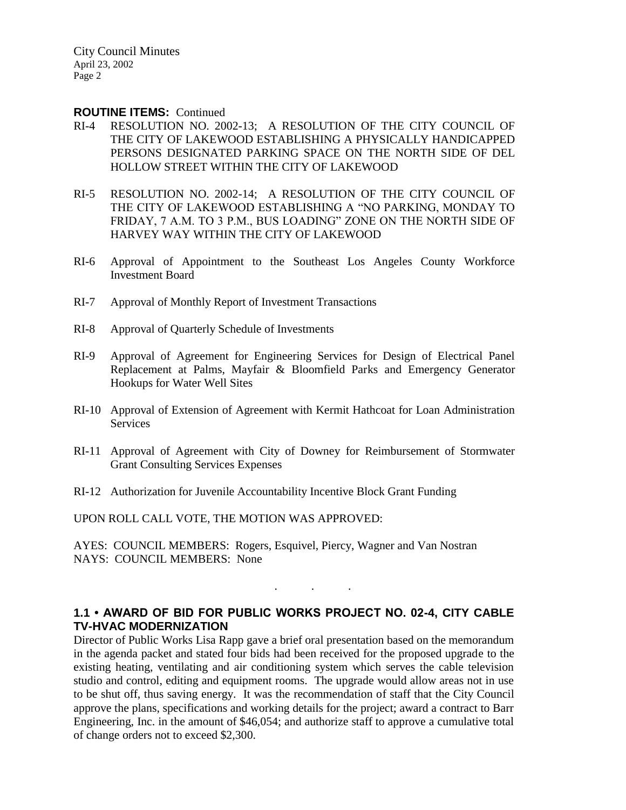City Council Minutes April 23, 2002 Page 2

#### **ROUTINE ITEMS:** Continued

- RI-4 RESOLUTION NO. 2002-13; A RESOLUTION OF THE CITY COUNCIL OF THE CITY OF LAKEWOOD ESTABLISHING A PHYSICALLY HANDICAPPED PERSONS DESIGNATED PARKING SPACE ON THE NORTH SIDE OF DEL HOLLOW STREET WITHIN THE CITY OF LAKEWOOD
- RI-5 RESOLUTION NO. 2002-14; A RESOLUTION OF THE CITY COUNCIL OF THE CITY OF LAKEWOOD ESTABLISHING A "NO PARKING, MONDAY TO FRIDAY, 7 A.M. TO 3 P.M., BUS LOADING" ZONE ON THE NORTH SIDE OF HARVEY WAY WITHIN THE CITY OF LAKEWOOD
- RI-6 Approval of Appointment to the Southeast Los Angeles County Workforce Investment Board
- RI-7 Approval of Monthly Report of Investment Transactions
- RI-8 Approval of Quarterly Schedule of Investments
- RI-9 Approval of Agreement for Engineering Services for Design of Electrical Panel Replacement at Palms, Mayfair & Bloomfield Parks and Emergency Generator Hookups for Water Well Sites
- RI-10 Approval of Extension of Agreement with Kermit Hathcoat for Loan Administration **Services**
- RI-11 Approval of Agreement with City of Downey for Reimbursement of Stormwater Grant Consulting Services Expenses
- RI-12 Authorization for Juvenile Accountability Incentive Block Grant Funding

UPON ROLL CALL VOTE, THE MOTION WAS APPROVED:

AYES: COUNCIL MEMBERS: Rogers, Esquivel, Piercy, Wagner and Van Nostran NAYS: COUNCIL MEMBERS: None

## **1.1 • AWARD OF BID FOR PUBLIC WORKS PROJECT NO. 02-4, CITY CABLE TV-HVAC MODERNIZATION**

. . .

Director of Public Works Lisa Rapp gave a brief oral presentation based on the memorandum in the agenda packet and stated four bids had been received for the proposed upgrade to the existing heating, ventilating and air conditioning system which serves the cable television studio and control, editing and equipment rooms. The upgrade would allow areas not in use to be shut off, thus saving energy. It was the recommendation of staff that the City Council approve the plans, specifications and working details for the project; award a contract to Barr Engineering, Inc. in the amount of \$46,054; and authorize staff to approve a cumulative total of change orders not to exceed \$2,300.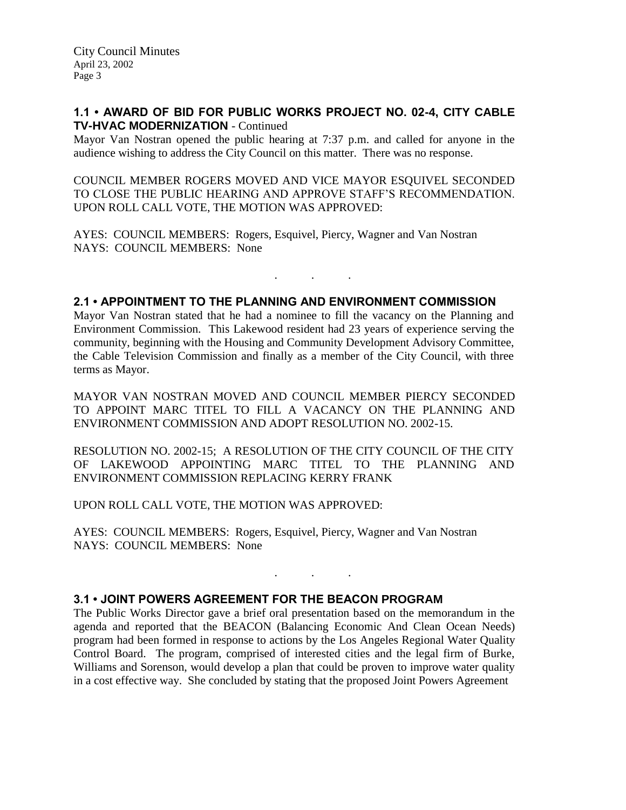## **1.1 • AWARD OF BID FOR PUBLIC WORKS PROJECT NO. 02-4, CITY CABLE TV-HVAC MODERNIZATION** - Continued

Mayor Van Nostran opened the public hearing at 7:37 p.m. and called for anyone in the audience wishing to address the City Council on this matter. There was no response.

COUNCIL MEMBER ROGERS MOVED AND VICE MAYOR ESQUIVEL SECONDED TO CLOSE THE PUBLIC HEARING AND APPROVE STAFF'S RECOMMENDATION. UPON ROLL CALL VOTE, THE MOTION WAS APPROVED:

AYES: COUNCIL MEMBERS: Rogers, Esquivel, Piercy, Wagner and Van Nostran NAYS: COUNCIL MEMBERS: None

## **2.1 • APPOINTMENT TO THE PLANNING AND ENVIRONMENT COMMISSION**

Mayor Van Nostran stated that he had a nominee to fill the vacancy on the Planning and Environment Commission. This Lakewood resident had 23 years of experience serving the community, beginning with the Housing and Community Development Advisory Committee, the Cable Television Commission and finally as a member of the City Council, with three terms as Mayor.

. . .

MAYOR VAN NOSTRAN MOVED AND COUNCIL MEMBER PIERCY SECONDED TO APPOINT MARC TITEL TO FILL A VACANCY ON THE PLANNING AND ENVIRONMENT COMMISSION AND ADOPT RESOLUTION NO. 2002-15.

RESOLUTION NO. 2002-15; A RESOLUTION OF THE CITY COUNCIL OF THE CITY OF LAKEWOOD APPOINTING MARC TITEL TO THE PLANNING AND ENVIRONMENT COMMISSION REPLACING KERRY FRANK

UPON ROLL CALL VOTE, THE MOTION WAS APPROVED:

AYES: COUNCIL MEMBERS: Rogers, Esquivel, Piercy, Wagner and Van Nostran NAYS: COUNCIL MEMBERS: None

#### **3.1 • JOINT POWERS AGREEMENT FOR THE BEACON PROGRAM**

The Public Works Director gave a brief oral presentation based on the memorandum in the agenda and reported that the BEACON (Balancing Economic And Clean Ocean Needs) program had been formed in response to actions by the Los Angeles Regional Water Quality Control Board. The program, comprised of interested cities and the legal firm of Burke, Williams and Sorenson, would develop a plan that could be proven to improve water quality in a cost effective way. She concluded by stating that the proposed Joint Powers Agreement

. . .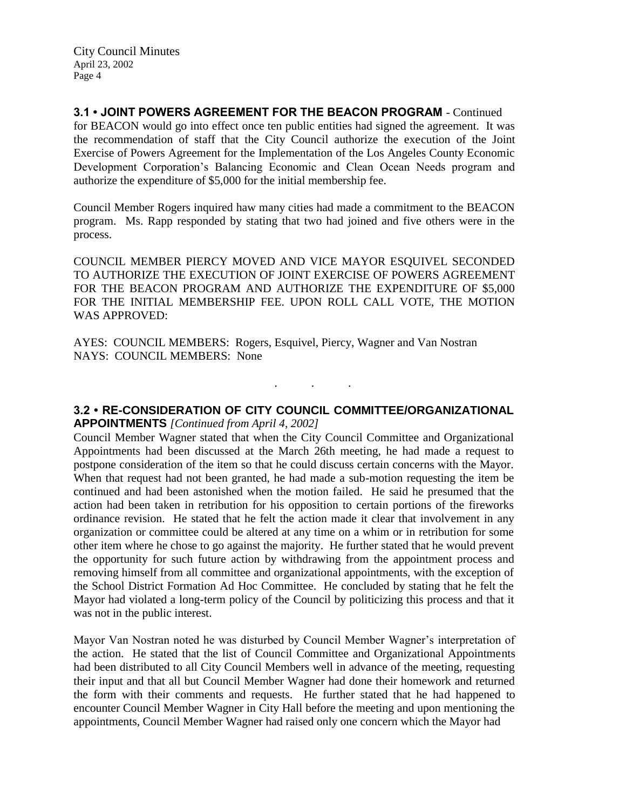**3.1 • JOINT POWERS AGREEMENT FOR THE BEACON PROGRAM** - Continued for BEACON would go into effect once ten public entities had signed the agreement. It was the recommendation of staff that the City Council authorize the execution of the Joint Exercise of Powers Agreement for the Implementation of the Los Angeles County Economic Development Corporation's Balancing Economic and Clean Ocean Needs program and authorize the expenditure of \$5,000 for the initial membership fee.

Council Member Rogers inquired haw many cities had made a commitment to the BEACON program. Ms. Rapp responded by stating that two had joined and five others were in the process.

COUNCIL MEMBER PIERCY MOVED AND VICE MAYOR ESQUIVEL SECONDED TO AUTHORIZE THE EXECUTION OF JOINT EXERCISE OF POWERS AGREEMENT FOR THE BEACON PROGRAM AND AUTHORIZE THE EXPENDITURE OF \$5,000 FOR THE INITIAL MEMBERSHIP FEE. UPON ROLL CALL VOTE, THE MOTION WAS APPROVED:

AYES: COUNCIL MEMBERS: Rogers, Esquivel, Piercy, Wagner and Van Nostran NAYS: COUNCIL MEMBERS: None

**3.2 • RE-CONSIDERATION OF CITY COUNCIL COMMITTEE/ORGANIZATIONAL APPOINTMENTS** *[Continued from April 4, 2002]*

. . .

Council Member Wagner stated that when the City Council Committee and Organizational Appointments had been discussed at the March 26th meeting, he had made a request to postpone consideration of the item so that he could discuss certain concerns with the Mayor. When that request had not been granted, he had made a sub-motion requesting the item be continued and had been astonished when the motion failed. He said he presumed that the action had been taken in retribution for his opposition to certain portions of the fireworks ordinance revision. He stated that he felt the action made it clear that involvement in any organization or committee could be altered at any time on a whim or in retribution for some other item where he chose to go against the majority. He further stated that he would prevent the opportunity for such future action by withdrawing from the appointment process and removing himself from all committee and organizational appointments, with the exception of the School District Formation Ad Hoc Committee. He concluded by stating that he felt the Mayor had violated a long-term policy of the Council by politicizing this process and that it was not in the public interest.

Mayor Van Nostran noted he was disturbed by Council Member Wagner's interpretation of the action. He stated that the list of Council Committee and Organizational Appointments had been distributed to all City Council Members well in advance of the meeting, requesting their input and that all but Council Member Wagner had done their homework and returned the form with their comments and requests. He further stated that he had happened to encounter Council Member Wagner in City Hall before the meeting and upon mentioning the appointments, Council Member Wagner had raised only one concern which the Mayor had